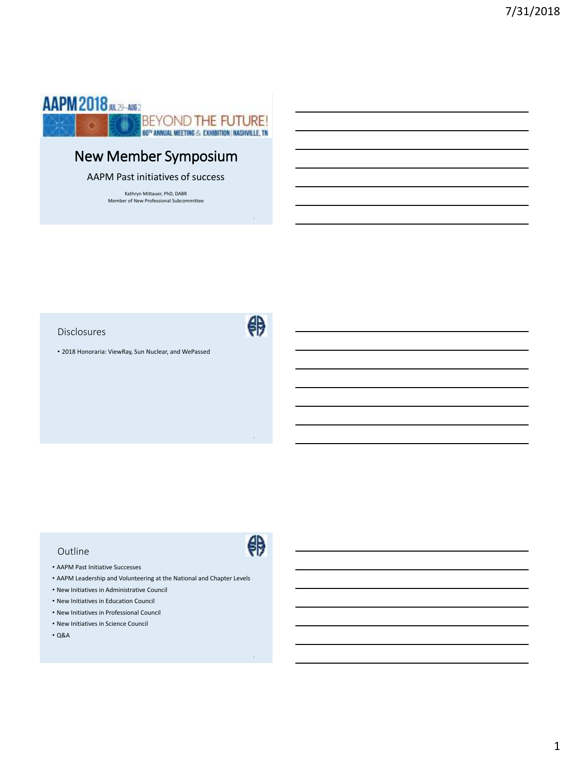

# New Member Symposium

AAPM Past initiatives of success

Kathryn Mittauer, PhD, DABR Member of New Professional Subcommittee

Disclosures

舟

#

• 2018 Honoraria: ViewRay, Sun Nuclear, and WePassed

#### Outline

- AAPM Past Initiative Successes
- AAPM Leadership and Volunteering at the National and Chapter Levels
- New Initiatives in Administrative Council
- New Initiatives in Education Council
- New Initiatives in Professional Council
- New Initiatives in Science Council
- Q&A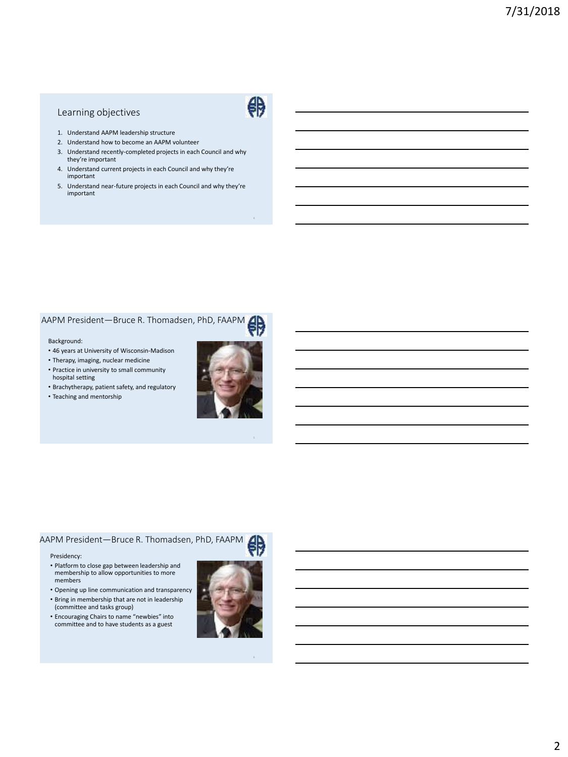### Learning objectives



- 1. Understand AAPM leadership structure
- 2. Understand how to become an AAPM volunteer
- 3. Understand recently-completed projects in each Council and why they're important
- 4. Understand current projects in each Council and why they're important
- 5. Understand near-future projects in each Council and why they're important

#### AAPM President—Bruce R. Thomadsen, PhD, FAAPM

#### Background:

- 46 years at University of Wisconsin-Madison
- Therapy, imaging, nuclear medicine • Practice in university to small community hospital setting
- Brachytherapy, patient safety, and regulatory
- Teaching and mentorship



#### AAPM President—Bruce R. Thomadsen, PhD, FAAPM

#### Presidency:

- Platform to close gap between leadership and membership to allow opportunities to more members
- Opening up line communication and transparency
- Bring in membership that are not in leadership (committee and tasks group)
- Encouraging Chairs to name "newbies" into committee and to have students as a guest

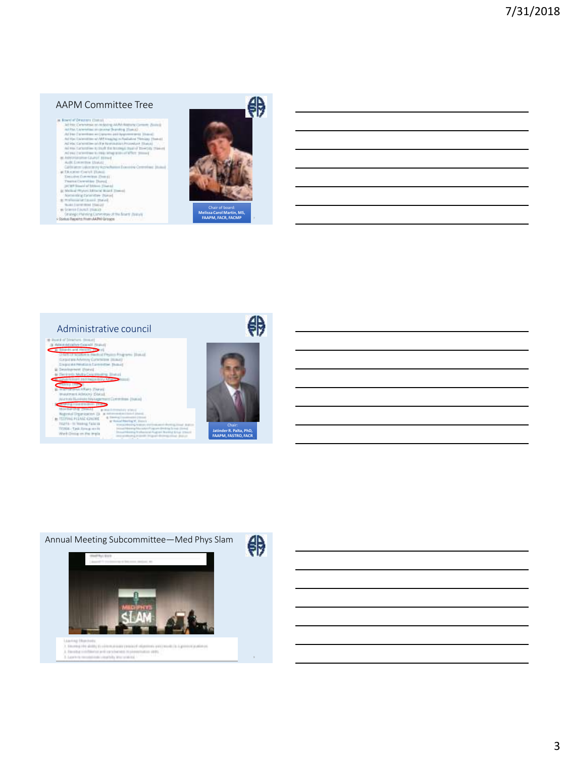- 
- $\begin{minipage}[c]{0.9\textwidth} \begin{tabular}{|c|c|} \hline & \multicolumn{2}{|c|}{\multicolumn{2}{|c|}{\multicolumn{2}{|c|}{\multicolumn{2}{|c|}{\multicolumn{2}{|c|}{\multicolumn{2}{|c|}{\multicolumn{2}{|c|}{\multicolumn{2}{|c|}{\multicolumn{2}{|c|}{\multicolumn{2}{|c|}{\multicolumn{2}{|c|}{\multicolumn{2}{|c|}{\multicolumn{2}{|c|}{\multicolumn{2}{|c|}{\multicolumn{2}{|c|}{\multicolumn{2}{|c|}{\multicolumn{2}{|c|}{\$
- 
- 
- 
- 
- 
- 
- 





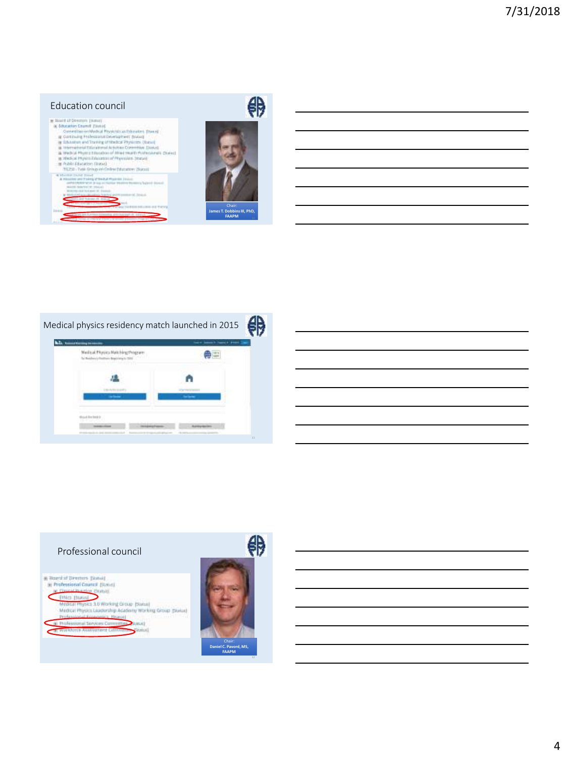## 舟 Education council<br>  $\begin{minipage}{0.9\textwidth} \begin{tabular}{|c|c|} \hline & \multicolumn{1}{|c|}{\textbf{Factor} (1)} & \multicolumn{1}{|c|}{\textbf{Factor} (2)} & \multicolumn{1}{|c|}{\textbf{Factor} (3)} & \multicolumn{1}{|c|}{\textbf{Factor} (4)} & \multicolumn{1}{|c|}{\textbf{Factor} (5)} & \multicolumn{1}{|c|}{\textbf{vector} (5)} & \multicolumn{1}{|c|}{\textbf{vector} (6)} & \multicolumn{1}{|c|}{\textbf{vector} (6)} & \multic$  $\Rightarrow$ ment today  $\mathbf{S}$ **James T. DobbinsIII, PhD, FAAPM** <sup>10</sup>



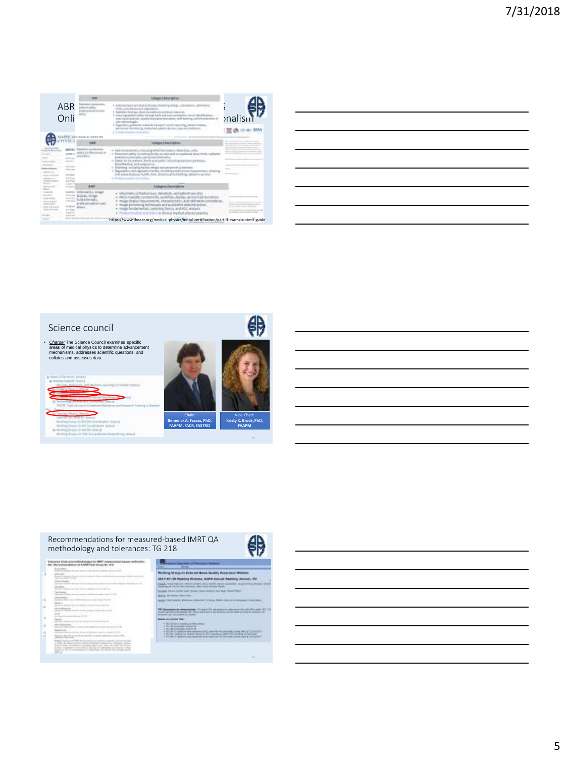|                                                                                  | ABR<br>Onli                                                                         | 14.0                                    | <b><i>SURGEON BOAT BEEN</i></b><br>A TURNING DEALER GENERAL PHOTOGRAPH (ROAD AND GENERAL<br>Fairly, principles and topological<br>· Radiahlys Anchiner, close machinery want move<br>I in morthap nature in called a through bank shot most artist<br>more subsidiary and cross requires all managers of an expertises, most if and<br><b>Industrial Control of Control Control</b><br>1. Regulatory politicists, material transport about reporting, sellant sistemi-<br>stocking, Johannese & Authority Monitors, Janet too complete price<br>and advert-     | <i><b>nalisi</b></i> |  |
|----------------------------------------------------------------------------------|-------------------------------------------------------------------------------------|-----------------------------------------|-----------------------------------------------------------------------------------------------------------------------------------------------------------------------------------------------------------------------------------------------------------------------------------------------------------------------------------------------------------------------------------------------------------------------------------------------------------------------------------------------------------------------------------------------------------------|----------------------|--|
|                                                                                  |                                                                                     |                                         | <b>Formators Seets Gillage</b>                                                                                                                                                                                                                                                                                                                                                                                                                                                                                                                                  |                      |  |
| <b>The America</b><br><b>Starting</b><br><b>EXTERNEY</b><br>ESAPE<br>Link of Co. | <b>ASSESSED</b><br>FOR HOUSE O<br>Addressed<br><b>Sal Free</b><br>an anno           |                                         | R&A Handcopy Will, Fribull Fell RAD Starrogan C. Woodcast, Jolla,<br>1. Financeri calinia to trading Dr. Div survice and announced a alast thrill<br>November (plan, calmicrowall, Muterialing)<br>4 500 Et for the process, formly and position in plushing inspirate particulars.<br>lease the allows, and as regiment of<br>In 10 antificant from EuroPlays Band Pray althought stand perform real packages<br>fequilation and equipts/visuality, including mathod swint powermany.<br>and posta dramati, ALAMI, Anno alchanol polichesting, but arent power |                      |  |
|                                                                                  | <b>State of Local</b><br>$- - - - -$<br>or warming<br><b>BARNE</b><br>ty's platform |                                         | Eablahry Pennsylvan                                                                                                                                                                                                                                                                                                                                                                                                                                                                                                                                             |                      |  |
|                                                                                  |                                                                                     | <b>Strike # 5 L. 10-661</b><br>all base | SHUMANI (Charlotter), Income, and paint securi-<br>RCLINGBUONATES AUMBA, AUM, and actuals<br>mage display/requirements, characteristics, and satisfied lan procedurate<br>tage processing techniques and acadiative data are system.<br>reside for use serious, sawcreng means, and little printers.<br>or of the initial teachers' photographs are<br>٠                                                                                                                                                                                                        |                      |  |
| <b>START OF THE ANN</b>                                                          | <b>Looking</b><br><b>Allege Ave</b>                                                 | --                                      | https://www.theabr.org/medical-physics/initial-certification/part-3-exam/content-guide                                                                                                                                                                                                                                                                                                                                                                                                                                                                          |                      |  |

| <u> 1989 - Johann Stoff, deutscher Stoff, der Stoff, der Stoff, der Stoff, der Stoff, der Stoff, der Stoff, der S</u> |  |  |  |
|-----------------------------------------------------------------------------------------------------------------------|--|--|--|
| <u> 1989 - Johann Stoff, amerikansk politiker (d. 1989)</u>                                                           |  |  |  |
| <u> 1989 - Johann Stoff, amerikan besteht fan de ferske fan de ferske fan de ferske fan de ferske fan de ferske</u>   |  |  |  |
|                                                                                                                       |  |  |  |
| <u> 1989 - Johann Stoff, amerikansk politiker (d. 1989)</u>                                                           |  |  |  |
|                                                                                                                       |  |  |  |
|                                                                                                                       |  |  |  |





o



- **MAG**
- **Basic Corporation**
- 
- E
- 



### .<br>Ming Street on Editorial Board Confly Association &  $M(1,4)$  . In maxima this<br>case, which started that the first state  $\sim$  1<br>maximal representation of the state state of the state

**SOACH** 

**Note: Agrees and Constitution and Broad all company that** 

HEEL MANAGER